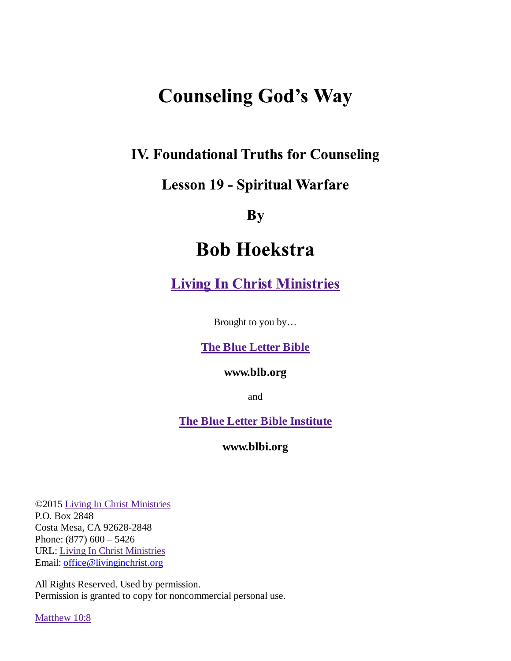# **Counseling God's Way**

## **IV. Foundational Truths for Counseling**

## **Lesson 19 - Spiritual Warfare**

By

## **Bob Hoekstra**

**Living In Christ Ministries** 

Brought to you by…

#### **The Blue Letter Bible**

#### **www.blb.org**

and

**The Blue Letter Bible Institute**

**www.blbi.org**

©2015 Living In Christ Ministries P.O. Box 2848 Costa Mesa, CA 92628-2848 Phone: (877) 600 – 5426 URL: Living In Christ Ministries Email: office@livinginchrist.org

All Rights Reserved. Used by permission. Permission is granted to copy for noncommercial personal use.

Matthew 10:8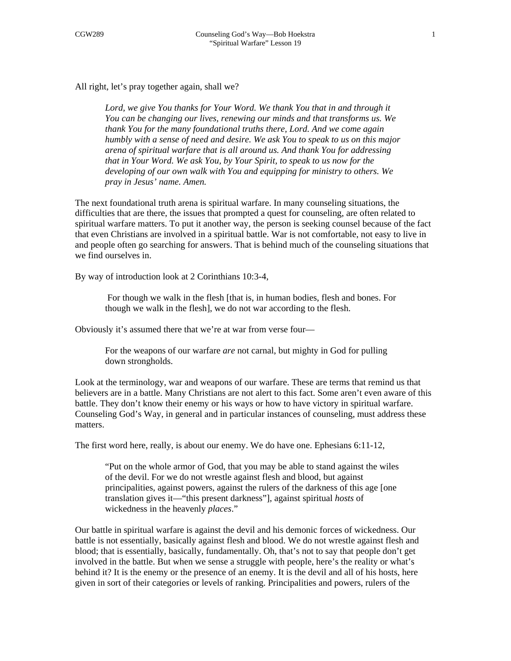All right, let's pray together again, shall we?

Lord, we give You thanks for Your Word. We thank You that in and through it *You can be changing our lives, renewing our minds and that transforms us. We thank You for the many foundational truths there, Lord. And we come again humbly with a sense of need and desire. We ask You to speak to us on this major arena of spiritual warfare that is all around us. And thank You for addressing that in Your Word. We ask You, by Your Spirit, to speak to us now for the developing of our own walk with You and equipping for ministry to others. We pray in Jesus' name. Amen.* 

The next foundational truth arena is spiritual warfare. In many counseling situations, the difficulties that are there, the issues that prompted a quest for counseling, are often related to spiritual warfare matters. To put it another way, the person is seeking counsel because of the fact that even Christians are involved in a spiritual battle. War is not comfortable, not easy to live in and people often go searching for answers. That is behind much of the counseling situations that we find ourselves in.

By way of introduction look at 2 Corinthians 10:3-4,

 For though we walk in the flesh [that is, in human bodies, flesh and bones. For though we walk in the flesh], we do not war according to the flesh.

Obviously it's assumed there that we're at war from verse four—

For the weapons of our warfare *are* not carnal, but mighty in God for pulling down strongholds.

Look at the terminology, war and weapons of our warfare. These are terms that remind us that believers are in a battle. Many Christians are not alert to this fact. Some aren't even aware of this battle. They don't know their enemy or his ways or how to have victory in spiritual warfare. Counseling God's Way, in general and in particular instances of counseling, must address these matters.

The first word here, really, is about our enemy. We do have one. Ephesians 6:11-12,

"Put on the whole armor of God, that you may be able to stand against the wiles of the devil. For we do not wrestle against flesh and blood, but against principalities, against powers, against the rulers of the darkness of this age [one translation gives it—"this present darkness"], against spiritual *hosts* of wickedness in the heavenly *places*."

Our battle in spiritual warfare is against the devil and his demonic forces of wickedness. Our battle is not essentially, basically against flesh and blood. We do not wrestle against flesh and blood; that is essentially, basically, fundamentally. Oh, that's not to say that people don't get involved in the battle. But when we sense a struggle with people, here's the reality or what's behind it? It is the enemy or the presence of an enemy. It is the devil and all of his hosts, here given in sort of their categories or levels of ranking. Principalities and powers, rulers of the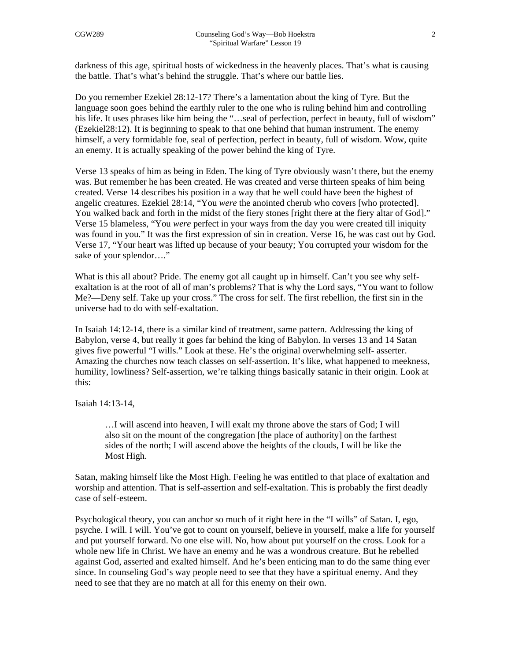darkness of this age, spiritual hosts of wickedness in the heavenly places. That's what is causing the battle. That's what's behind the struggle. That's where our battle lies.

Do you remember Ezekiel 28:12-17? There's a lamentation about the king of Tyre. But the language soon goes behind the earthly ruler to the one who is ruling behind him and controlling his life. It uses phrases like him being the "...seal of perfection, perfect in beauty, full of wisdom" (Ezekiel28:12). It is beginning to speak to that one behind that human instrument. The enemy himself, a very formidable foe, seal of perfection, perfect in beauty, full of wisdom. Wow, quite an enemy. It is actually speaking of the power behind the king of Tyre.

Verse 13 speaks of him as being in Eden. The king of Tyre obviously wasn't there, but the enemy was. But remember he has been created. He was created and verse thirteen speaks of him being created. Verse 14 describes his position in a way that he well could have been the highest of angelic creatures. Ezekiel 28:14, "You *were* the anointed cherub who covers [who protected]. You walked back and forth in the midst of the fiery stones [right there at the fiery altar of God]." Verse 15 blameless, "You *were* perfect in your ways from the day you were created till iniquity was found in you." It was the first expression of sin in creation. Verse 16, he was cast out by God. Verse 17, "Your heart was lifted up because of your beauty; You corrupted your wisdom for the sake of your splendor…."

What is this all about? Pride. The enemy got all caught up in himself. Can't you see why selfexaltation is at the root of all of man's problems? That is why the Lord says, "You want to follow Me?—Deny self. Take up your cross." The cross for self. The first rebellion, the first sin in the universe had to do with self-exaltation.

In Isaiah 14:12-14, there is a similar kind of treatment, same pattern. Addressing the king of Babylon, verse 4, but really it goes far behind the king of Babylon. In verses 13 and 14 Satan gives five powerful "I wills." Look at these. He's the original overwhelming self- asserter. Amazing the churches now teach classes on self-assertion. It's like, what happened to meekness, humility, lowliness? Self-assertion, we're talking things basically satanic in their origin. Look at this:

Isaiah 14:13-14,

…I will ascend into heaven, I will exalt my throne above the stars of God; I will also sit on the mount of the congregation [the place of authority] on the farthest sides of the north; I will ascend above the heights of the clouds, I will be like the Most High.

Satan, making himself like the Most High. Feeling he was entitled to that place of exaltation and worship and attention. That is self-assertion and self-exaltation. This is probably the first deadly case of self-esteem.

Psychological theory, you can anchor so much of it right here in the "I wills" of Satan. I, ego, psyche. I will. I will. You've got to count on yourself, believe in yourself, make a life for yourself and put yourself forward. No one else will. No, how about put yourself on the cross. Look for a whole new life in Christ. We have an enemy and he was a wondrous creature. But he rebelled against God, asserted and exalted himself. And he's been enticing man to do the same thing ever since. In counseling God's way people need to see that they have a spiritual enemy. And they need to see that they are no match at all for this enemy on their own.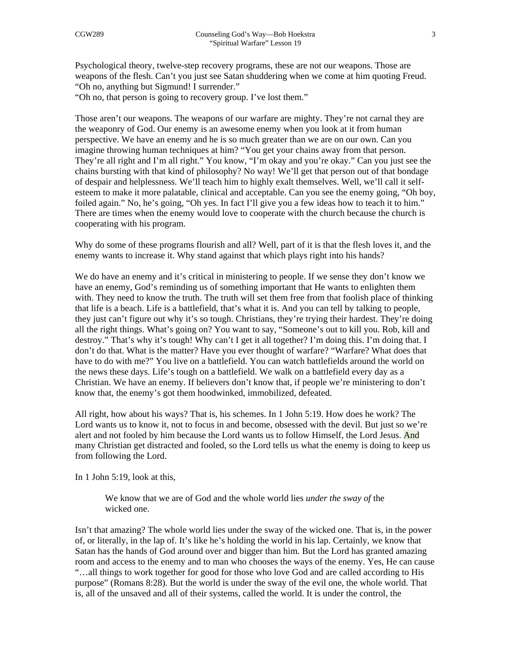Psychological theory, twelve-step recovery programs, these are not our weapons. Those are weapons of the flesh. Can't you just see Satan shuddering when we come at him quoting Freud. "Oh no, anything but Sigmund! I surrender."

"Oh no, that person is going to recovery group. I've lost them."

Those aren't our weapons. The weapons of our warfare are mighty. They're not carnal they are the weaponry of God. Our enemy is an awesome enemy when you look at it from human perspective. We have an enemy and he is so much greater than we are on our own. Can you imagine throwing human techniques at him? "You get your chains away from that person. They're all right and I'm all right." You know, "I'm okay and you're okay." Can you just see the chains bursting with that kind of philosophy? No way! We'll get that person out of that bondage of despair and helplessness. We'll teach him to highly exalt themselves. Well, we'll call it selfesteem to make it more palatable, clinical and acceptable. Can you see the enemy going, "Oh boy, foiled again." No, he's going, "Oh yes. In fact I'll give you a few ideas how to teach it to him." There are times when the enemy would love to cooperate with the church because the church is cooperating with his program.

Why do some of these programs flourish and all? Well, part of it is that the flesh loves it, and the enemy wants to increase it. Why stand against that which plays right into his hands?

We do have an enemy and it's critical in ministering to people. If we sense they don't know we have an enemy, God's reminding us of something important that He wants to enlighten them with. They need to know the truth. The truth will set them free from that foolish place of thinking that life is a beach. Life is a battlefield, that's what it is. And you can tell by talking to people, they just can't figure out why it's so tough. Christians, they're trying their hardest. They're doing all the right things. What's going on? You want to say, "Someone's out to kill you. Rob, kill and destroy." That's why it's tough! Why can't I get it all together? I'm doing this. I'm doing that. I don't do that. What is the matter? Have you ever thought of warfare? "Warfare? What does that have to do with me?" You live on a battlefield. You can watch battlefields around the world on the news these days. Life's tough on a battlefield. We walk on a battlefield every day as a Christian. We have an enemy. If believers don't know that, if people we're ministering to don't know that, the enemy's got them hoodwinked, immobilized, defeated.

All right, how about his ways? That is, his schemes. In 1 John 5:19. How does he work? The Lord wants us to know it, not to focus in and become, obsessed with the devil. But just so we're alert and not fooled by him because the Lord wants us to follow Himself, the Lord Jesus. And many Christian get distracted and fooled, so the Lord tells us what the enemy is doing to keep us from following the Lord.

In 1 John 5:19, look at this,

We know that we are of God and the whole world lies *under the sway of* the wicked one.

Isn't that amazing? The whole world lies under the sway of the wicked one. That is, in the power of, or literally, in the lap of. It's like he's holding the world in his lap. Certainly, we know that Satan has the hands of God around over and bigger than him. But the Lord has granted amazing room and access to the enemy and to man who chooses the ways of the enemy. Yes, He can cause "…all things to work together for good for those who love God and are called according to His purpose" (Romans 8:28). But the world is under the sway of the evil one, the whole world. That is, all of the unsaved and all of their systems, called the world. It is under the control, the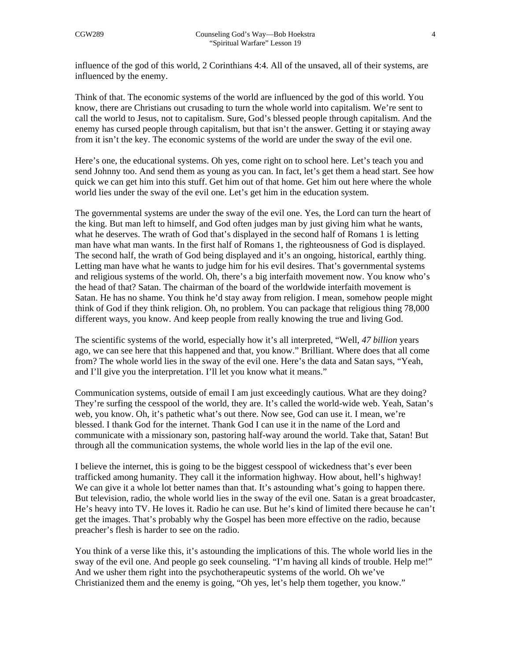influence of the god of this world, 2 Corinthians 4:4. All of the unsaved, all of their systems, are influenced by the enemy.

Think of that. The economic systems of the world are influenced by the god of this world. You know, there are Christians out crusading to turn the whole world into capitalism. We're sent to call the world to Jesus, not to capitalism. Sure, God's blessed people through capitalism. And the enemy has cursed people through capitalism, but that isn't the answer. Getting it or staying away from it isn't the key. The economic systems of the world are under the sway of the evil one.

Here's one, the educational systems. Oh yes, come right on to school here. Let's teach you and send Johnny too. And send them as young as you can. In fact, let's get them a head start. See how quick we can get him into this stuff. Get him out of that home. Get him out here where the whole world lies under the sway of the evil one. Let's get him in the education system.

The governmental systems are under the sway of the evil one. Yes, the Lord can turn the heart of the king. But man left to himself, and God often judges man by just giving him what he wants, what he deserves. The wrath of God that's displayed in the second half of Romans 1 is letting man have what man wants. In the first half of Romans 1, the righteousness of God is displayed. The second half, the wrath of God being displayed and it's an ongoing, historical, earthly thing. Letting man have what he wants to judge him for his evil desires. That's governmental systems and religious systems of the world. Oh, there's a big interfaith movement now. You know who's the head of that? Satan. The chairman of the board of the worldwide interfaith movement is Satan. He has no shame. You think he'd stay away from religion. I mean, somehow people might think of God if they think religion. Oh, no problem. You can package that religious thing 78,000 different ways, you know. And keep people from really knowing the true and living God.

The scientific systems of the world, especially how it's all interpreted, "Well, *47 billion* years ago, we can see here that this happened and that, you know." Brilliant. Where does that all come from? The whole world lies in the sway of the evil one. Here's the data and Satan says, "Yeah, and I'll give you the interpretation. I'll let you know what it means."

Communication systems, outside of email I am just exceedingly cautious. What are they doing? They're surfing the cesspool of the world, they are. It's called the world-wide web. Yeah, Satan's web, you know. Oh, it's pathetic what's out there. Now see, God can use it. I mean, we're blessed. I thank God for the internet. Thank God I can use it in the name of the Lord and communicate with a missionary son, pastoring half-way around the world. Take that, Satan! But through all the communication systems, the whole world lies in the lap of the evil one.

I believe the internet, this is going to be the biggest cesspool of wickedness that's ever been trafficked among humanity. They call it the information highway. How about, hell's highway! We can give it a whole lot better names than that. It's astounding what's going to happen there. But television, radio, the whole world lies in the sway of the evil one. Satan is a great broadcaster, He's heavy into TV. He loves it. Radio he can use. But he's kind of limited there because he can't get the images. That's probably why the Gospel has been more effective on the radio, because preacher's flesh is harder to see on the radio.

You think of a verse like this, it's astounding the implications of this. The whole world lies in the sway of the evil one. And people go seek counseling. "I'm having all kinds of trouble. Help me!" And we usher them right into the psychotherapeutic systems of the world. Oh we've Christianized them and the enemy is going, "Oh yes, let's help them together, you know."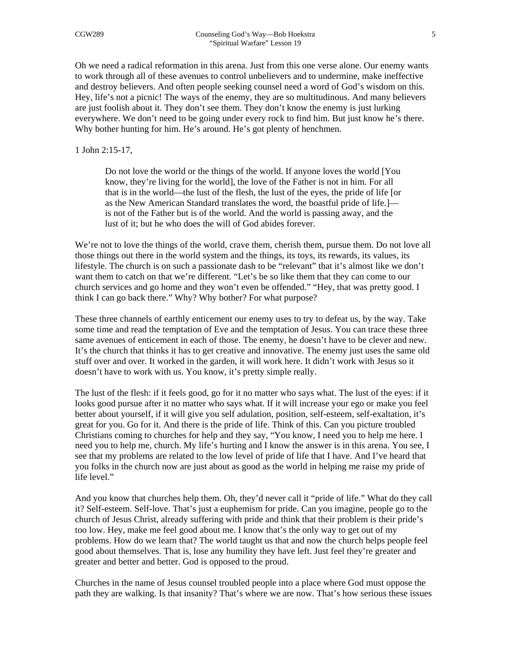Oh we need a radical reformation in this arena. Just from this one verse alone. Our enemy wants to work through all of these avenues to control unbelievers and to undermine, make ineffective and destroy believers. And often people seeking counsel need a word of God's wisdom on this. Hey, life's not a picnic! The ways of the enemy, they are so multitudinous. And many believers are just foolish about it. They don't see them. They don't know the enemy is just lurking everywhere. We don't need to be going under every rock to find him. But just know he's there. Why bother hunting for him. He's around. He's got plenty of henchmen.

1 John 2:15-17,

Do not love the world or the things of the world. If anyone loves the world [You know, they're living for the world], the love of the Father is not in him. For all that is in the world—the lust of the flesh, the lust of the eyes, the pride of life [or as the New American Standard translates the word, the boastful pride of life.] is not of the Father but is of the world. And the world is passing away, and the lust of it; but he who does the will of God abides forever.

We're not to love the things of the world, crave them, cherish them, pursue them. Do not love all those things out there in the world system and the things, its toys, its rewards, its values, its lifestyle. The church is on such a passionate dash to be "relevant" that it's almost like we don't want them to catch on that we're different. "Let's be so like them that they can come to our church services and go home and they won't even be offended." "Hey, that was pretty good. I think I can go back there." Why? Why bother? For what purpose?

These three channels of earthly enticement our enemy uses to try to defeat us, by the way. Take some time and read the temptation of Eve and the temptation of Jesus. You can trace these three same avenues of enticement in each of those. The enemy, he doesn't have to be clever and new. It's the church that thinks it has to get creative and innovative. The enemy just uses the same old stuff over and over. It worked in the garden, it will work here. It didn't work with Jesus so it doesn't have to work with us. You know, it's pretty simple really.

The lust of the flesh: if it feels good, go for it no matter who says what. The lust of the eyes: if it looks good pursue after it no matter who says what. If it will increase your ego or make you feel better about yourself, if it will give you self adulation, position, self-esteem, self-exaltation, it's great for you. Go for it. And there is the pride of life. Think of this. Can you picture troubled Christians coming to churches for help and they say, "You know, I need you to help me here. I need you to help me, church. My life's hurting and I know the answer is in this arena. You see, I see that my problems are related to the low level of pride of life that I have. And I've heard that you folks in the church now are just about as good as the world in helping me raise my pride of life level."

And you know that churches help them. Oh, they'd never call it "pride of life." What do they call it? Self-esteem. Self-love. That's just a euphemism for pride. Can you imagine, people go to the church of Jesus Christ, already suffering with pride and think that their problem is their pride's too low. Hey, make me feel good about me. I know that's the only way to get out of my problems. How do we learn that? The world taught us that and now the church helps people feel good about themselves. That is, lose any humility they have left. Just feel they're greater and greater and better and better. God is opposed to the proud.

Churches in the name of Jesus counsel troubled people into a place where God must oppose the path they are walking. Is that insanity? That's where we are now. That's how serious these issues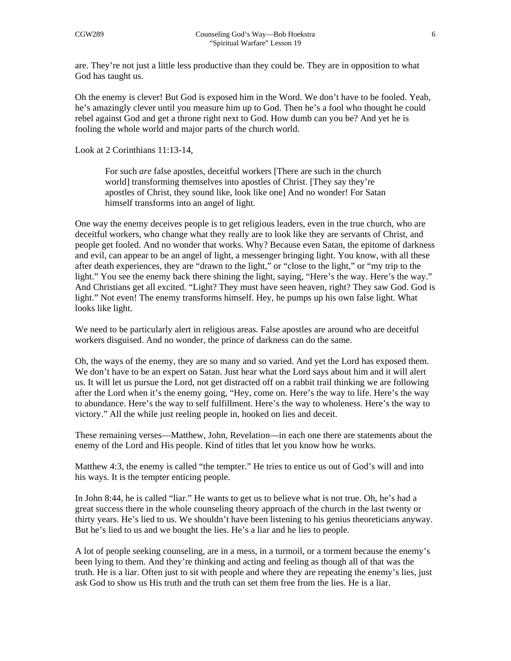are. They're not just a little less productive than they could be. They are in opposition to what God has taught us.

Oh the enemy is clever! But God is exposed him in the Word. We don't have to be fooled. Yeah, he's amazingly clever until you measure him up to God. Then he's a fool who thought he could rebel against God and get a throne right next to God. How dumb can you be? And yet he is fooling the whole world and major parts of the church world.

Look at 2 Corinthians 11:13-14,

For such *are* false apostles, deceitful workers [There are such in the church world] transforming themselves into apostles of Christ. [They say they're apostles of Christ, they sound like, look like one] And no wonder! For Satan himself transforms into an angel of light.

One way the enemy deceives people is to get religious leaders, even in the true church, who are deceitful workers, who change what they really are to look like they are servants of Christ, and people get fooled. And no wonder that works. Why? Because even Satan, the epitome of darkness and evil, can appear to be an angel of light, a messenger bringing light. You know, with all these after death experiences, they are "drawn to the light," or "close to the light," or "my trip to the light." You see the enemy back there shining the light, saying, "Here's the way. Here's the way." And Christians get all excited. "Light? They must have seen heaven, right? They saw God. God is light." Not even! The enemy transforms himself. Hey, he pumps up his own false light. What looks like light.

We need to be particularly alert in religious areas. False apostles are around who are deceitful workers disguised. And no wonder, the prince of darkness can do the same.

Oh, the ways of the enemy, they are so many and so varied. And yet the Lord has exposed them. We don't have to be an expert on Satan. Just hear what the Lord says about him and it will alert us. It will let us pursue the Lord, not get distracted off on a rabbit trail thinking we are following after the Lord when it's the enemy going, "Hey, come on. Here's the way to life. Here's the way to abundance. Here's the way to self fulfillment. Here's the way to wholeness. Here's the way to victory." All the while just reeling people in, hooked on lies and deceit.

These remaining verses—Matthew, John, Revelation—in each one there are statements about the enemy of the Lord and His people. Kind of titles that let you know how he works.

Matthew 4:3, the enemy is called "the tempter." He tries to entice us out of God's will and into his ways. It is the tempter enticing people.

In John 8:44, he is called "liar." He wants to get us to believe what is not true. Oh, he's had a great success there in the whole counseling theory approach of the church in the last twenty or thirty years. He's lied to us. We shouldn't have been listening to his genius theoreticians anyway. But he's lied to us and we bought the lies. He's a liar and he lies to people.

A lot of people seeking counseling, are in a mess, in a turmoil, or a torment because the enemy's been lying to them. And they're thinking and acting and feeling as though all of that was the truth. He is a liar. Often just to sit with people and where they are repeating the enemy's lies, just ask God to show us His truth and the truth can set them free from the lies. He is a liar.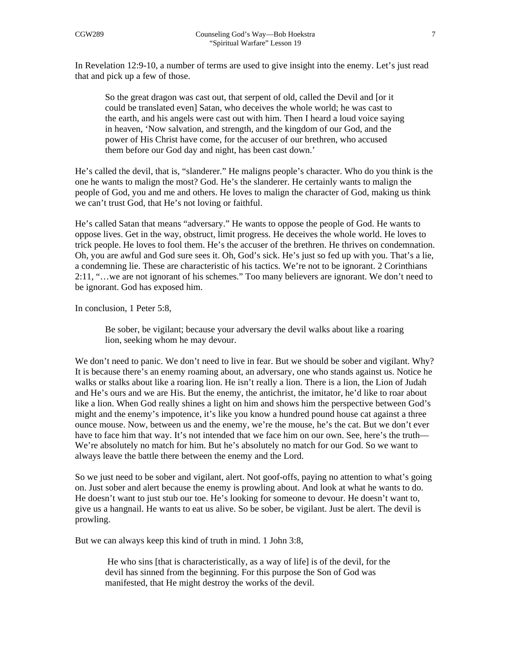In Revelation 12:9-10, a number of terms are used to give insight into the enemy. Let's just read that and pick up a few of those.

So the great dragon was cast out, that serpent of old, called the Devil and [or it could be translated even] Satan, who deceives the whole world; he was cast to the earth, and his angels were cast out with him. Then I heard a loud voice saying in heaven, 'Now salvation, and strength, and the kingdom of our God, and the power of His Christ have come, for the accuser of our brethren, who accused them before our God day and night, has been cast down.'

He's called the devil, that is, "slanderer." He maligns people's character. Who do you think is the one he wants to malign the most? God. He's the slanderer. He certainly wants to malign the people of God, you and me and others. He loves to malign the character of God, making us think we can't trust God, that He's not loving or faithful.

He's called Satan that means "adversary." He wants to oppose the people of God. He wants to oppose lives. Get in the way, obstruct, limit progress. He deceives the whole world. He loves to trick people. He loves to fool them. He's the accuser of the brethren. He thrives on condemnation. Oh, you are awful and God sure sees it. Oh, God's sick. He's just so fed up with you. That's a lie, a condemning lie. These are characteristic of his tactics. We're not to be ignorant. 2 Corinthians 2:11, "…we are not ignorant of his schemes." Too many believers are ignorant. We don't need to be ignorant. God has exposed him.

In conclusion, 1 Peter 5:8,

Be sober, be vigilant; because your adversary the devil walks about like a roaring lion, seeking whom he may devour.

We don't need to panic. We don't need to live in fear. But we should be sober and vigilant. Why? It is because there's an enemy roaming about, an adversary, one who stands against us. Notice he walks or stalks about like a roaring lion. He isn't really a lion. There is a lion, the Lion of Judah and He's ours and we are His. But the enemy, the antichrist, the imitator, he'd like to roar about like a lion. When God really shines a light on him and shows him the perspective between God's might and the enemy's impotence, it's like you know a hundred pound house cat against a three ounce mouse. Now, between us and the enemy, we're the mouse, he's the cat. But we don't ever have to face him that way. It's not intended that we face him on our own. See, here's the truth— We're absolutely no match for him. But he's absolutely no match for our God. So we want to always leave the battle there between the enemy and the Lord.

So we just need to be sober and vigilant, alert. Not goof-offs, paying no attention to what's going on. Just sober and alert because the enemy is prowling about. And look at what he wants to do. He doesn't want to just stub our toe. He's looking for someone to devour. He doesn't want to, give us a hangnail. He wants to eat us alive. So be sober, be vigilant. Just be alert. The devil is prowling.

But we can always keep this kind of truth in mind. 1 John 3:8,

 He who sins [that is characteristically, as a way of life] is of the devil, for the devil has sinned from the beginning. For this purpose the Son of God was manifested, that He might destroy the works of the devil.